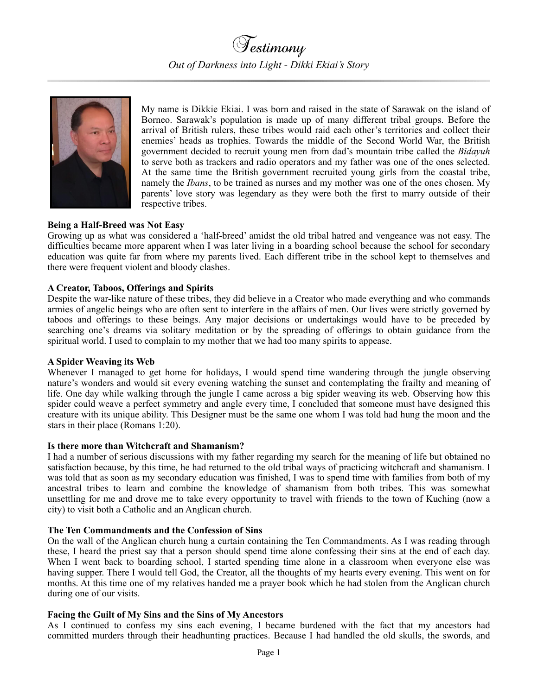

My name is Dikkie Ekiai. I was born and raised in the state of Sarawak on the island of Borneo. Sarawak's population is made up of many different tribal groups. Before the arrival of British rulers, these tribes would raid each other's territories and collect their enemies' heads as trophies. Towards the middle of the Second World War, the British government decided to recruit young men from dad's mountain tribe called the *Bidayuh* to serve both as trackers and radio operators and my father was one of the ones selected. At the same time the British government recruited young girls from the coastal tribe, namely the *Ibans*, to be trained as nurses and my mother was one of the ones chosen. My parents' love story was legendary as they were both the first to marry outside of their respective tribes.

# **Being a Half-Breed was Not Easy**

Growing up as what was considered a 'half-breed' amidst the old tribal hatred and vengeance was not easy. The difficulties became more apparent when I was later living in a boarding school because the school for secondary education was quite far from where my parents lived. Each different tribe in the school kept to themselves and there were frequent violent and bloody clashes.

## **A Creator, Taboos, Offerings and Spirits**

Despite the war-like nature of these tribes, they did believe in a Creator who made everything and who commands armies of angelic beings who are often sent to interfere in the affairs of men. Our lives were strictly governed by taboos and offerings to these beings. Any major decisions or undertakings would have to be preceded by searching one's dreams via solitary meditation or by the spreading of offerings to obtain guidance from the spiritual world. I used to complain to my mother that we had too many spirits to appease.

### **A Spider Weaving its Web**

Whenever I managed to get home for holidays, I would spend time wandering through the jungle observing nature's wonders and would sit every evening watching the sunset and contemplating the frailty and meaning of life. One day while walking through the jungle I came across a big spider weaving its web. Observing how this spider could weave a perfect symmetry and angle every time, I concluded that someone must have designed this creature with its unique ability. This Designer must be the same one whom I was told had hung the moon and the stars in their place (Romans 1:20).

### **Is there more than Witchcraft and Shamanism?**

I had a number of serious discussions with my father regarding my search for the meaning of life but obtained no satisfaction because, by this time, he had returned to the old tribal ways of practicing witchcraft and shamanism. I was told that as soon as my secondary education was finished, I was to spend time with families from both of my ancestral tribes to learn and combine the knowledge of shamanism from both tribes. This was somewhat unsettling for me and drove me to take every opportunity to travel with friends to the town of Kuching (now a city) to visit both a Catholic and an Anglican church.

# **The Ten Commandments and the Confession of Sins**

On the wall of the Anglican church hung a curtain containing the Ten Commandments. As I was reading through these, I heard the priest say that a person should spend time alone confessing their sins at the end of each day. When I went back to boarding school, I started spending time alone in a classroom when everyone else was having supper. There I would tell God, the Creator, all the thoughts of my hearts every evening. This went on for months. At this time one of my relatives handed me a prayer book which he had stolen from the Anglican church during one of our visits.

### **Facing the Guilt of My Sins and the Sins of My Ancestors**

As I continued to confess my sins each evening, I became burdened with the fact that my ancestors had committed murders through their headhunting practices. Because I had handled the old skulls, the swords, and